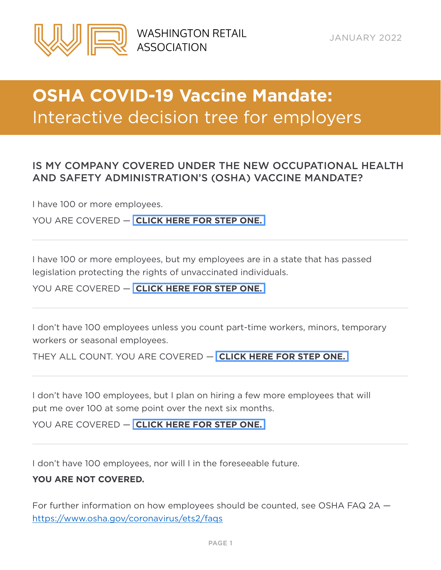<span id="page-0-0"></span>

# **OSHA COVID-19 Vaccine Mandate:**  Interactive decision tree for employers

### IS MY COMPANY COVERED UNDER THE NEW OCCUPATIONAL HEALTH AND SAFETY ADMINISTRATION'S (OSHA) VACCINE MANDATE?

I have 100 or more employees.

YOU ARE COVERED — **[CLICK HERE FOR STEP ONE.](#page-1-0)** 

I have 100 or more employees, but my employees are in a state that has passed legislation protecting the rights of unvaccinated individuals.

YOU ARE COVERED — **[CLICK HERE FOR STEP ONE.](#page-1-0)** 

I don't have 100 employees unless you count part-time workers, minors, temporary workers or seasonal employees.

THEY ALL COUNT. YOU ARE COVERED — **[CLICK HERE FOR STEP ONE.](#page-1-0)** 

I don't have 100 employees, but I plan on hiring a few more employees that will put me over 100 at some point over the next six months.

YOU ARE COVERED — **[CLICK HERE FOR STEP ONE.](#page-1-0)** 

I don't have 100 employees, nor will I in the foreseeable future.

### **YOU ARE NOT COVERED.**

For further information on how employees should be counted, see OSHA FAQ 2A <https://www.osha.gov/coronavirus/ets2/faqs>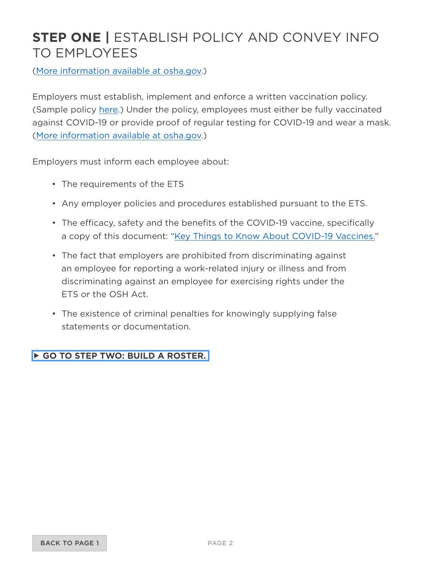## <span id="page-1-0"></span>**STEP ONE |** ESTABLISH POLICY AND CONVEY INFO TO EMPLOYEES

[\(More information available at osha.gov](https://www.osha.gov/coronavirus/ets2/faqs#accordion-81513-collapse1).)

Employers must establish, implement and enforce a written vaccination policy. (Sample policy [here.](https://www.osha.gov/sites/default/files/covid-19-ets2-sample-employee-choice-vaccination-policy.docx)) Under the policy, employees must either be fully vaccinated against COVID-19 or provide proof of regular testing for COVID-19 and wear a mask. [\(More information available at osha.gov](https://www.osha.gov/sites/default/files/covid-19-ets2-sample-employee-choice-vaccination-policy.docx).)

Employers must inform each employee about:

- The requirements of the ETS
- Any employer policies and procedures established pursuant to the ETS.
- The efficacy, safety and the benefits of the COVID-19 vaccine, specifically a copy of this document: ["Key Things to Know About COVID-19 Vaccines."](https://www.cdc.gov/coronavirus/2019-ncov/vaccines/keythingstoknow.html)
- The fact that employers are prohibited from discriminating against an employee for reporting a work-related injury or illness and from discriminating against an employee for exercising rights under the ETS or the OSH Act.
- The existence of criminal penalties for knowingly supplying false statements or documentation.

#### **[GO TO STEP TWO: BUILD A ROSTER.](#page-2-0)**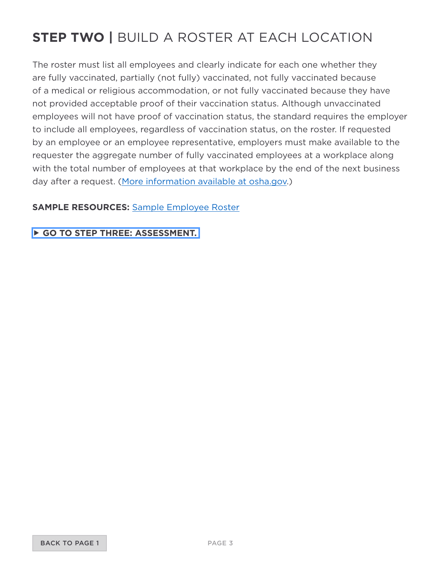## <span id="page-2-0"></span>**STEP TWO |** BUILD A ROSTER AT EACH LOCATION

The roster must list all employees and clearly indicate for each one whether they are fully vaccinated, partially (not fully) vaccinated, not fully vaccinated because of a medical or religious accommodation, or not fully vaccinated because they have not provided acceptable proof of their vaccination status. Although unvaccinated employees will not have proof of vaccination status, the standard requires the employer to include all employees, regardless of vaccination status, on the roster. If requested by an employee or an employee representative, employers must make available to the requester the aggregate number of fully vaccinated employees at a workplace along with the total number of employees at that workplace by the end of the next business day after a request. [\(More information available at osha.gov](https://www.osha.gov/coronavirus/ets2/faqs#accordion-81478-collapse3).)

### **SAMPLE RESOURCES:** [Sample Employee Roster](https://washingtonretail.org/wp-content/uploads/2022/01/Sample_COVID_Roster.pdf)

### **[GO TO STEP THREE: ASSESSMENT.](#page-3-0)**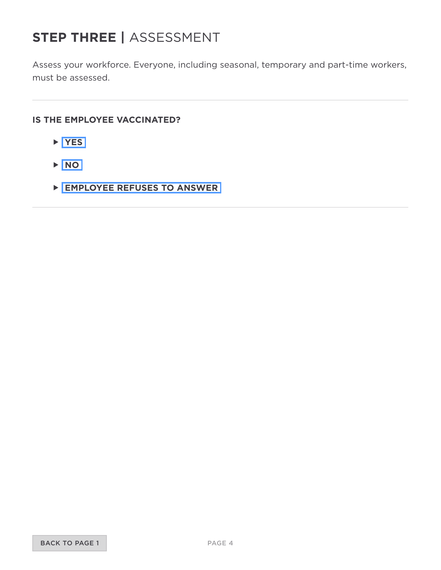## <span id="page-3-0"></span>**STEP THREE |** ASSESSMENT

Assess your workforce. Everyone, including seasonal, temporary and part-time workers, must be assessed.

#### **IS THE EMPLOYEE VACCINATED?**

- **[YES](#page-4-0)**
- **[NO](#page-5-0)**
- **[EMPLOYEE REFUSES TO ANSWER](#page-7-0)**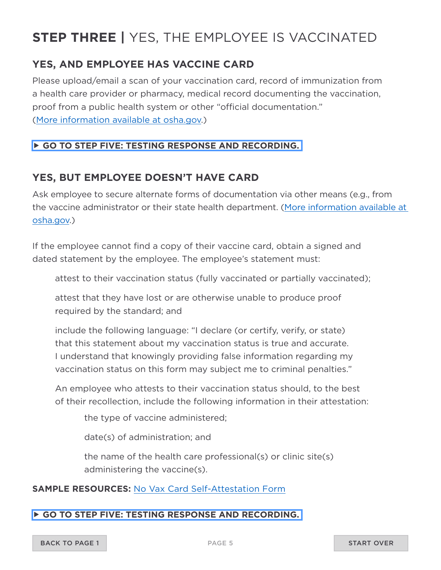## <span id="page-4-0"></span>**STEP THREE |** YES, THE EMPLOYEE IS VACCINATED

### **YES, AND EMPLOYEE HAS VACCINE CARD**

Please upload/email a scan of your vaccination card, record of immunization from a health care provider or pharmacy, medical record documenting the vaccination, proof from a public health system or other "official documentation." [\(More information available at osha.gov](https://www.osha.gov/coronavirus/ets2/faqs#accordion-81478-collapse7).)

### **[GO TO STEP FIVE: TESTING RESPONSE AND RECORDING.](#page-9-0)**

### **YES, BUT EMPLOYEE DOESN'T HAVE CARD**

Ask employee to secure alternate forms of documentation via other means (e.g., from the vaccine administrator or their state health department. [\(More information available at](https://www.osha.gov/coronavirus/ets2/faqs#accordion-81478-collapse1)  [osha.gov](https://www.osha.gov/coronavirus/ets2/faqs#accordion-81478-collapse1).)

If the employee cannot find a copy of their vaccine card, obtain a signed and dated statement by the employee. The employee's statement must:

attest to their vaccination status (fully vaccinated or partially vaccinated);

attest that they have lost or are otherwise unable to produce proof required by the standard; and

include the following language: "I declare (or certify, verify, or state) that this statement about my vaccination status is true and accurate. I understand that knowingly providing false information regarding my vaccination status on this form may subject me to criminal penalties."

An employee who attests to their vaccination status should, to the best of their recollection, include the following information in their attestation:

the type of vaccine administered;

date(s) of administration; and

the name of the health care professional(s) or clinic site(s) administering the vaccine(s).

#### **SAMPLE RESOURCES:** [No Vax Card Self-Attestation Form](https://washingtonretail.org/wp-content/uploads/2022/01/No_vax_card_self-attestion.pdf)

#### **[GO TO STEP FIVE: TESTING RESPONSE AND RECORDING.](#page-9-0)**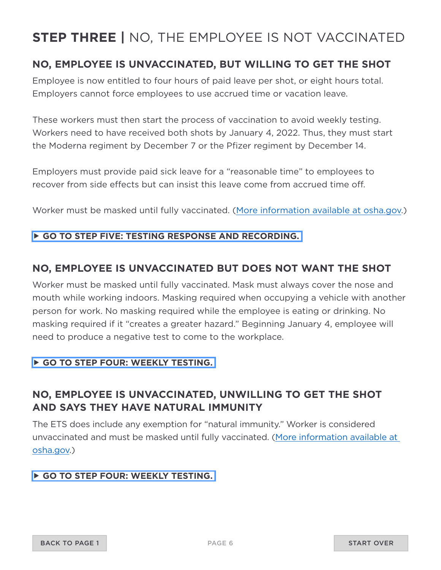## <span id="page-5-0"></span>**STEP THREE |** NO, THE EMPLOYEE IS NOT VACCINATED

### **NO, EMPLOYEE IS UNVACCINATED, BUT WILLING TO GET THE SHOT**

Employee is now entitled to four hours of paid leave per shot, or eight hours total. Employers cannot force employees to use accrued time or vacation leave.

These workers must then start the process of vaccination to avoid weekly testing. Workers need to have received both shots by January 4, 2022. Thus, they must start the Moderna regiment by December 7 or the Pfizer regiment by December 14.

Employers must provide paid sick leave for a "reasonable time" to employees to recover from side effects but can insist this leave come from accrued time off.

Worker must be masked until fully vaccinated. [\(More information available at osha.gov](https://www.osha.gov/coronavirus/ets2/faqs#accordion-81490-collapse1).)

#### **[GO TO STEP FIVE: TESTING RESPONSE AND RECORDING.](#page-9-0)**

### **NO, EMPLOYEE IS UNVACCINATED BUT DOES NOT WANT THE SHOT**

Worker must be masked until fully vaccinated. Mask must always cover the nose and mouth while working indoors. Masking required when occupying a vehicle with another person for work. No masking required while the employee is eating or drinking. No masking required if it "creates a greater hazard." Beginning January 4, employee will need to produce a negative test to come to the workplace.

#### **[GO TO STEP FOUR: WEEKLY TESTING.](#page-8-0)**

### **NO, EMPLOYEE IS UNVACCINATED, UNWILLING TO GET THE SHOT AND SAYS THEY HAVE NATURAL IMMUNITY**

The ETS does include any exemption for "natural immunity." Worker is considered unvaccinated and must be masked until fully vaccinated. [\(More information available at](https://www.osha.gov/coronavirus/ets2/faqs#accordion-81470-collapse9)  [osha.gov](https://www.osha.gov/coronavirus/ets2/faqs#accordion-81470-collapse9).)

#### **[GO TO STEP FOUR: WEEKLY TESTING.](#page-8-0)**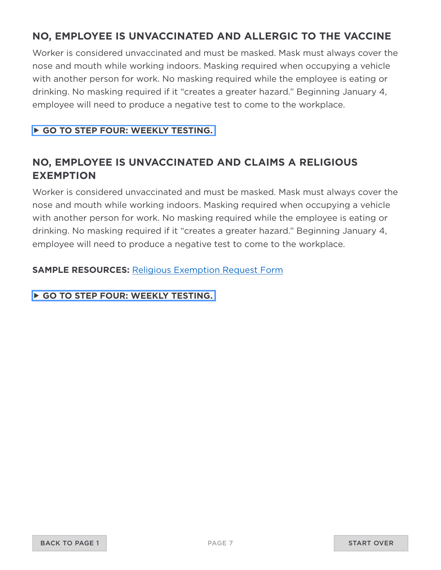### **NO, EMPLOYEE IS UNVACCINATED AND ALLERGIC TO THE VACCINE**

Worker is considered unvaccinated and must be masked. Mask must always cover the nose and mouth while working indoors. Masking required when occupying a vehicle with another person for work. No masking required while the employee is eating or drinking. No masking required if it "creates a greater hazard." Beginning January 4, employee will need to produce a negative test to come to the workplace.

### **[GO TO STEP FOUR: WEEKLY TESTING.](#page-8-0)**

### **NO, EMPLOYEE IS UNVACCINATED AND CLAIMS A RELIGIOUS EXEMPTION**

Worker is considered unvaccinated and must be masked. Mask must always cover the nose and mouth while working indoors. Masking required when occupying a vehicle with another person for work. No masking required while the employee is eating or drinking. No masking required if it "creates a greater hazard." Beginning January 4, employee will need to produce a negative test to come to the workplace.

**SAMPLE RESOURCES:** [Religious Exemption Request Form](https://washingtonretail.org/wp-content/uploads/2022/01/Religious_accommodation_request_form.pdf)

**[GO TO STEP FOUR: WEEKLY TESTING.](#page-8-0)**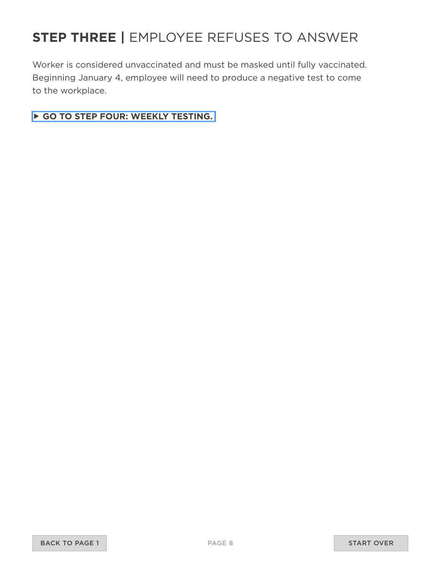## <span id="page-7-0"></span>**STEP THREE |** EMPLOYEE REFUSES TO ANSWER

Worker is considered unvaccinated and must be masked until fully vaccinated. Beginning January 4, employee will need to produce a negative test to come to the workplace.

**[GO TO STEP FOUR: WEEKLY TESTING.](#page-8-0)**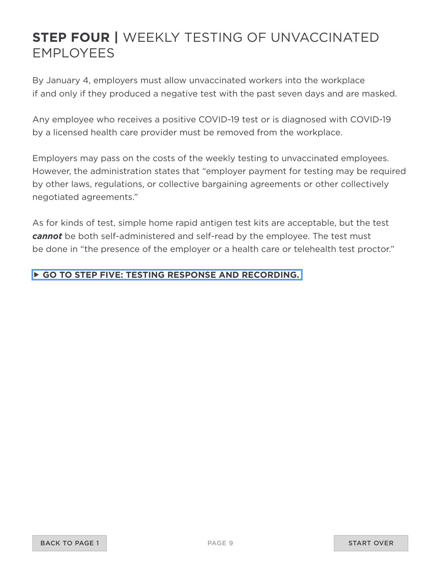## <span id="page-8-0"></span>**STEP FOUR |** WEEKLY TESTING OF UNVACCINATED EMPLOYEES

By January 4, employers must allow unvaccinated workers into the workplace if and only if they produced a negative test with the past seven days and are masked.

Any employee who receives a positive COVID-19 test or is diagnosed with COVID-19 by a licensed health care provider must be removed from the workplace.

Employers may pass on the costs of the weekly testing to unvaccinated employees. However, the administration states that "employer payment for testing may be required by other laws, regulations, or collective bargaining agreements or other collectively negotiated agreements."

As for kinds of test, simple home rapid antigen test kits are acceptable, but the test *cannot* be both self-administered and self-read by the employee. The test must be done in "the presence of the employer or a health care or telehealth test proctor."

### **[GO TO STEP FIVE: TESTING RESPONSE AND RECORDING.](#page-9-0)**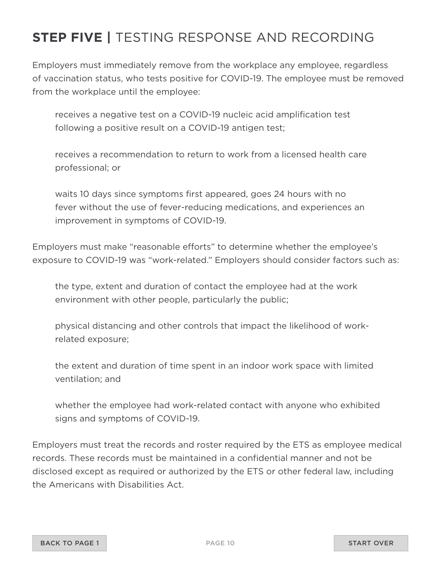## <span id="page-9-0"></span>**STEP FIVE |** TESTING RESPONSE AND RECORDING

Employers must immediately remove from the workplace any employee, regardless of vaccination status, who tests positive for COVID-19. The employee must be removed from the workplace until the employee:

receives a negative test on a COVID-19 nucleic acid amplification test following a positive result on a COVID-19 antigen test;

receives a recommendation to return to work from a licensed health care professional; or

waits 10 days since symptoms first appeared, goes 24 hours with no fever without the use of fever-reducing medications, and experiences an improvement in symptoms of COVID-19.

Employers must make "reasonable efforts" to determine whether the employee's exposure to COVID-19 was "work-related." Employers should consider factors such as:

the type, extent and duration of contact the employee had at the work environment with other people, particularly the public;

physical distancing and other controls that impact the likelihood of workrelated exposure;

the extent and duration of time spent in an indoor work space with limited ventilation; and

whether the employee had work-related contact with anyone who exhibited signs and symptoms of COVID-19.

Employers must treat the records and roster required by the ETS as employee medical records. These records must be maintained in a confidential manner and not be disclosed except as required or authorized by the ETS or other federal law, including the Americans with Disabilities Act.